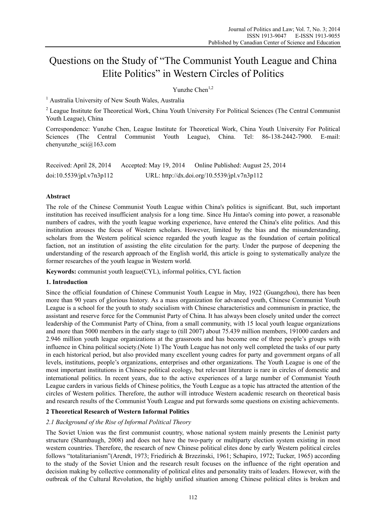# Questions on the Study of "The Communist Youth League and China Elite Politics" in Western Circles of Politics

Yunzhe Chen<sup>1,2</sup>

<sup>1</sup> Australia University of New South Wales, Australia

<sup>2</sup> League Institute for Theoretical Work, China Youth University For Political Sciences (The Central Communist Youth League), China

Correspondence: Yunzhe Chen, League Institute for Theoretical Work, China Youth University For Political Sciences (The Central Communist Youth League), China. Tel: 86-138-2442-7900. E-mail: chenyunzhe\_sci@163.com

| Received: April 28, 2014 | Accepted: May 19, 2014                      | Online Published: August 25, 2014 |
|--------------------------|---------------------------------------------|-----------------------------------|
| doi:10.5539/jpl.v7n3p112 | URL: http://dx.doi.org/10.5539/jpl.v7n3p112 |                                   |

# **Abstract**

The role of the Chinese Communist Youth League within China's politics is significant. But, such important institution has received insufficient analysis for a long time. Since Hu Jintao's coming into power, a reasonable numbers of cadres, with the youth league working experience, have entered the China's elite politics. And this institution arouses the focus of Western scholars. However, limited by the bias and the misunderstanding, scholars from the Western political science regarded the youth league as the foundation of certain political faction, not an institution of assisting the elite circulation for the party. Under the purpose of deepening the understanding of the research approach of the English world, this article is going to systematically analyze the former researches of the youth league in Western world.

**Keywords:** communist youth league(CYL), informal politics, CYL faction

# **1. Introduction**

Since the official foundation of Chinese Communist Youth League in May, 1922 (Guangzhou), there has been more than 90 years of glorious history. As a mass organization for advanced youth, Chinese Communist Youth League is a school for the youth to study socialism with Chinese characteristics and communism in practice, the assistant and reserve force for the Communist Party of China. It has always been closely united under the correct leadership of the Communist Party of China, from a small community, with 15 local youth league organizations and more than 5000 members in the early stage to (till 2007) about 75.439 million members, 191000 carders and 2.946 million youth league organizations at the grassroots and has become one of three people's groups with influence in China political society.(Note 1) The Youth League has not only well completed the tasks of our party in each historical period, but also provided many excellent young cadres for party and government organs of all levels, institutions, people's organizations, enterprises and other organizations. The Youth League is one of the most important institutions in Chinese political ecology, but relevant literature is rare in circles of domestic and international politics. In recent years, due to the active experiences of a large number of Communist Youth League carders in various fields of Chinese politics, the Youth League as a topic has attracted the attention of the circles of Western politics. Therefore, the author will introduce Western academic research on theoretical basis and research results of the Communist Youth League and put forwards some questions on existing achievements.

## **2 Theoretical Research of Western Informal Politics**

# *2.1 Background of the Rise of Informal Political Theory*

The Soviet Union was the first communist country, whose national system mainly presents the Leninist party structure (Shambaugh, 2008) and does not have the two-party or multiparty election system existing in most western countries. Therefore, the research of new Chinese political elites done by early Western political circles follows "totalitarianism"(Arendt, 1973; Friedirich & Brzezinski, 1961; Schapiro, 1972; Tucker, 1965) according to the study of the Soviet Union and the research result focuses on the influence of the right operation and decision making by collective commonality of political elites and personality traits of leaders. However, with the outbreak of the Cultural Revolution, the highly unified situation among Chinese political elites is broken and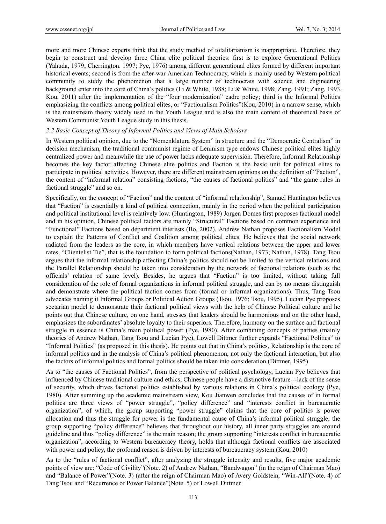more and more Chinese experts think that the study method of totalitarianism is inappropriate. Therefore, they begin to construct and develop three China elite political theories: first is to explore Generational Politics (Yahuda, 1979; Cherrington. 1997; Pye, 1976) among different generational elites formed by different important historical events; second is from the after-war American Technocracy, which is mainly used by Western political community to study the phenomenon that a large number of technocrats with science and engineering background enter into the core of China's politics (Li & White, 1988; Li & White, 1998; Zang, 1991; Zang, 1993, Kou, 2011) after the implementation of the "four modernization" cadre policy; third is the Informal Politics emphasizing the conflicts among political elites, or "Factionalism Politics"(Kou, 2010) in a narrow sense, which is the mainstream theory widely used in the Youth League and is also the main content of theoretical basis of Western Communist Youth League study in this thesis.

#### *2.2 Basic Concept of Theory of Informal Politics and Views of Main Scholars*

In Western political opinion, due to the "Nomenklatura System" in structure and the "Democratic Centralism" in decision mechanism, the traditional communist regime of Leninism type endows Chinese political elites highly centralized power and meanwhile the use of power lacks adequate supervision. Therefore, Informal Relationship becomes the key factor affecting Chinese elite politics and Faction is the basic unit for political elites to participate in political activities. However, there are different mainstream opinions on the definition of "Faction", the content of "informal relation" consisting factions, "the causes of factional politics" and "the game rules in factional struggle" and so on.

Specifically, on the concept of "Faction" and the content of "informal relationship", Samuel Huntington believes that "Faction" is essentially a kind of political connection, mainly in the period when the political participation and political institutional level is relatively low. (Huntington, 1989) Jorgen Domes first proposes factional model and in his opinion, Chinese political factors are mainly "Structural" Factions based on common experience and "Functional" Factions based on department interests (Bo, 2002). Andrew Nathan proposes Factionalism Model to explain the Patterns of Conflict and Coalition among political elites. He believes that the social network radiated from the leaders as the core, in which members have vertical relations between the upper and lower rates, "Clientelist Tie", that is the foundation to form political factions(Nathan, 1973; Nathan, 1978). Tang Tsou argues that the informal relationship affecting China's politics should not be limited to the vertical relations and the Parallel Relationship should be taken into consideration by the network of factional relations (such as the officials' relation of same level). Besides, he argues that "Faction" is too limited, without taking full consideration of the role of formal organizations in informal political struggle, and can by no means distinguish and demonstrate where the political faction comes from (formal or informal organizations). Thus, Tang Tsou advocates naming it Informal Groups or Political Action Groups (Tsou, 1976; Tsou, 1995). Lucian Pye proposes sectarian model to demonstrate their factional political views with the help of Chinese Political culture and he points out that Chinese culture, on one hand, stresses that leaders should be harmonious and on the other hand, emphasizes the subordinates' absolute loyalty to their superiors. Therefore, harmony on the surface and factional struggle in essence is China's main political power (Pye, 1980). After combining concepts of parties (mainly theories of Andrew Nathan, Tang Tsou and Lucian Pye), Lowell Dittmer further expands "Factional Politics" to "Informal Politics" (as proposed in this thesis). He points out that in China's politics, Relationship is the core of informal politics and in the analysis of China's political phenomenon, not only the factional interaction, but also the factors of informal politics and formal politics should be taken into consideration.(Dittmer, 1995)

As to "the causes of Factional Politics", from the perspective of political psychology, Lucian Pye believes that influenced by Chinese traditional culture and ethics, Chinese people have a distinctive feature---lack of the sense of security, which drives factional politics established by various relations in China's political ecology (Pye, 1980). After summing up the academic mainstream view, Kou Jianwen concludes that the causes of in formal politics are three views of "power struggle", "policy difference" and "interests conflict in bureaucratic organization", of which, the group supporting "power struggle" claims that the core of politics is power allocation and thus the struggle for power is the fundamental cause of China's informal political struggle; the group supporting "policy difference" believes that throughout our history, all inner party struggles are around guideline and thus "policy difference" is the main reason; the group supporting "interests conflict in bureaucratic organization", according to Western bureaucracy theory, holds that although factional conflicts are associated with power and policy, the profound reason is driven by interests of bureaucracy system.(Kou, 2010)

As to the "rules of factional conflict", after analyzing the struggle intensity and results, five major academic points of view are: "Code of Civility"(Note. 2) of Andrew Nathan, "Bandwagon" (in the reign of Chairman Mao) and "Balance of Power"(Note. 3) (after the reign of Chairman Mao) of Avery Goldstein, "Win-All"(Note. 4) of Tang Tsou and "Recurrence of Power Balance"(Note. 5) of Lowell Dittmer.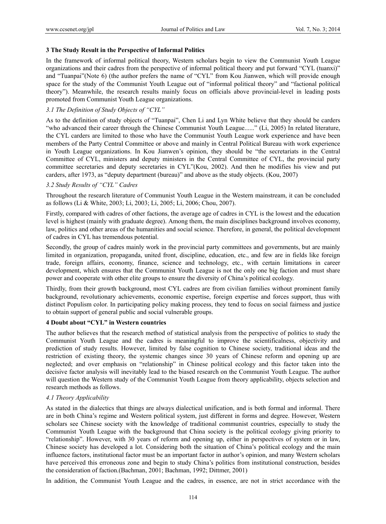### **3 The Study Result in the Perspective of Informal Politics**

In the framework of informal political theory, Western scholars begin to view the Communist Youth League organizations and their cadres from the perspective of informal political theory and put forward "CYL (tuanxi)" and "Tuanpai"(Note 6) (the author prefers the name of "CYL" from Kou Jianwen, which will provide enough space for the study of the Communist Youth League out of "informal political theory" and "factional political theory"). Meanwhile, the research results mainly focus on officials above provincial-level in leading posts promoted from Communist Youth League organizations.

## *3.1 The Definition of Study Objects of "CYL"*

As to the definition of study objects of "Tuanpai", Chen Li and Lyn White believe that they should be carders "who advanced their career through the Chinese Communist Youth League......" (Li, 2005) In related literature, the CYL carders are limited to those who have the Communist Youth League work experience and have been members of the Party Central Committee or above and mainly in Central Political Bureau with work experience in Youth League organizations. In Kou Jianwen's opinion, they should be "the secretariats in the Central Committee of CYL, ministers and deputy ministers in the Central Committee of CYL, the provincial party committee secretaries and deputy secretaries in CYL"(Kou, 2002). And then he modifies his view and put carders, after 1973, as "deputy department (bureau)" and above as the study objects. (Kou, 2007)

## *3.2 Study Results of "CYL" Cadres*

Throughout the research literature of Communist Youth League in the Western mainstream, it can be concluded as follows (Li & White, 2003; Li, 2003; Li, 2005; Li, 2006; Chou, 2007).

Firstly, compared with cadres of other factions, the average age of cadres in CYL is the lowest and the education level is highest (mainly with graduate degree). Among them, the main disciplines background involves economy, law, politics and other areas of the humanities and social science. Therefore, in general, the political development of cadres in CYL has tremendous potential.

Secondly, the group of cadres mainly work in the provincial party committees and governments, but are mainly limited in organization, propaganda, united front, discipline, education, etc., and few are in fields like foreign trade, foreign affairs, economy, finance, science and technology, etc., with certain limitations in career development, which ensures that the Communist Youth League is not the only one big faction and must share power and cooperate with other elite groups to ensure the diversity of China's political ecology.

Thirdly, from their growth background, most CYL cadres are from civilian families without prominent family background, revolutionary achievements, economic expertise, foreign expertise and forces support, thus with distinct Populism color. In participating policy making process, they tend to focus on social fairness and justice to obtain support of general public and social vulnerable groups.

### **4 Doubt about "CYL" in Western countries**

The author believes that the research method of statistical analysis from the perspective of politics to study the Communist Youth League and the cadres is meaningful to improve the scientificalness, objectivity and prediction of study results. However, limited by false cognition to Chinese society, traditional ideas and the restriction of existing theory, the systemic changes since 30 years of Chinese reform and opening up are neglected; and over emphasis on "relationship" in Chinese political ecology and this factor taken into the decisive factor analysis will inevitably lead to the biased research on the Communist Youth League. The author will question the Western study of the Communist Youth League from theory applicability, objects selection and research methods as follows.

#### *4.1 Theory Applicability*

As stated in the dialectics that things are always dialectical unification, and is both formal and informal. There are in both China's regime and Western political system, just different in forms and degree. However, Western scholars see Chinese society with the knowledge of traditional communist countries, especially to study the Communist Youth League with the background that China society is the political ecology giving priority to "relationship". However, with 30 years of reform and opening up, either in perspectives of system or in law, Chinese society has developed a lot. Considering both the situation of China's political ecology and the main influence factors, institutional factor must be an important factor in author's opinion, and many Western scholars have perceived this erroneous zone and begin to study China's politics from institutional construction, besides the consideration of faction.(Bachman, 2001; Bachman, 1992; Dittmer, 2001)

In addition, the Communist Youth League and the cadres, in essence, are not in strict accordance with the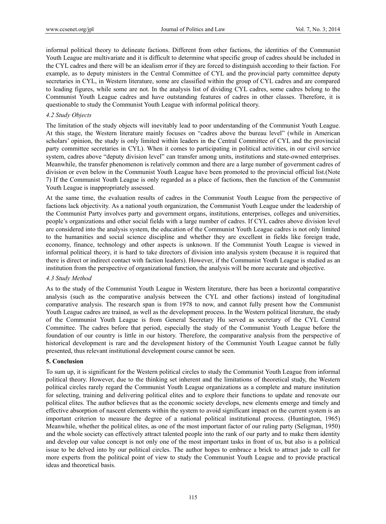informal political theory to delineate factions. Different from other factions, the identities of the Communist Youth League are multivariate and it is difficult to determine what specific group of cadres should be included in the CYL cadres and there will be an idealism error if they are forced to distinguish according to their faction. For example, as to deputy ministers in the Central Committee of CYL and the provincial party committee deputy secretaries in CYL, in Western literature, some are classified within the group of CYL cadres and are compared to leading figures, while some are not. In the analysis list of dividing CYL cadres, some cadres belong to the Communist Youth League cadres and have outstanding features of cadres in other classes. Therefore, it is questionable to study the Communist Youth League with informal political theory.

## *4.2 Study Objects*

The limitation of the study objects will inevitably lead to poor understanding of the Communist Youth League. At this stage, the Western literature mainly focuses on "cadres above the bureau level" (while in American scholars' opinion, the study is only limited within leaders in the Central Committee of CYL and the provincial party committee secretaries in CYL). When it comes to participating in political activities, in our civil service system, cadres above "deputy division level" can transfer among units, institutions and state-owned enterprises. Meanwhile, the transfer phenomenon is relatively common and there are a large number of government cadres of division or even below in the Communist Youth League have been promoted to the provincial official list.(Note 7) If the Communist Youth League is only regarded as a place of factions, then the function of the Communist Youth League is inappropriately assessed.

At the same time, the evaluation results of cadres in the Communist Youth League from the perspective of factions lack objectivity. As a national youth organization, the Communist Youth League under the leadership of the Communist Party involves party and government organs, institutions, enterprises, colleges and universities, people's organizations and other social fields with a large number of cadres. If CYL cadres above division level are considered into the analysis system, the education of the Communist Youth League cadres is not only limited to the humanities and social science discipline and whether they are excellent in fields like foreign trade, economy, finance, technology and other aspects is unknown. If the Communist Youth League is viewed in informal political theory, it is hard to take directors of division into analysis system (because it is required that there is direct or indirect contact with faction leaders). However, if the Communist Youth League is studied as an institution from the perspective of organizational function, the analysis will be more accurate and objective.

## *4.3 Study Method*

As to the study of the Communist Youth League in Western literature, there has been a horizontal comparative analysis (such as the comparative analysis between the CYL and other factions) instead of longitudinal comparative analysis. The research span is from 1978 to now, and cannot fully present how the Communist Youth League cadres are trained, as well as the development process. In the Western political literature, the study of the Communist Youth League is from General Secretary Hu served as secretary of the CYL Central Committee. The cadres before that period, especially the study of the Communist Youth League before the foundation of our country is little in our history. Therefore, the comparative analysis from the perspective of historical development is rare and the development history of the Communist Youth League cannot be fully presented, thus relevant institutional development course cannot be seen.

## **5. Conclusion**

To sum up, it is significant for the Western political circles to study the Communist Youth League from informal political theory. However, due to the thinking set inherent and the limitations of theoretical study, the Western political circles rarely regard the Communist Youth League organizations as a complete and mature institution for selecting, training and delivering political elites and to explore their functions to update and renovate our political elites. The author believes that as the economic society develops, new elements emerge and timely and effective absorption of nascent elements within the system to avoid significant impact on the current system is an important criterion to measure the degree of a national political institutional process. (Huntington, 1965) Meanwhile, whether the political elites, as one of the most important factor of our ruling party (Seligman, 1950) and the whole society can effectively attract talented people into the rank of our party and to make them identity and develop our value concept is not only one of the most important tasks in front of us, but also is a political issue to be delved into by our political circles. The author hopes to embrace a brick to attract jade to call for more experts from the political point of view to study the Communist Youth League and to provide practical ideas and theoretical basis.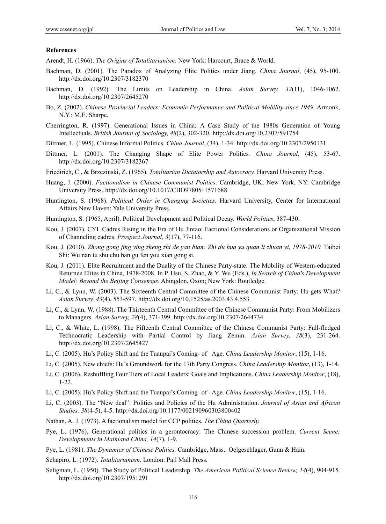#### **References**

Arendt, H. (1966). *The Origins of Totalitarianism*. New York: Harcourt, Brace & World.

- Bachman, D. (2001). The Paradox of Analyzing Elite Politics under Jiang. *China Journal*, (45), 95-100. http://dx.doi.org/10.2307/3182370
- Bachman, D. (1992). The Limits on Leadership in China. *Asian Survey, 32*(11), 1046-1062. http://dx.doi.org/10.2307/2645270
- Bo, Z. (2002). *Chinese Provincial Leaders: Economic Performance and Political Mobility since 1949.* Armonk, N.Y.: M.E. Sharpe.
- Cherrington, R. (1997). Generational Issues in China: A Case Study of the 1980s Generation of Young Intellectuals. *British Journal of Sociology, 48*(2), 302-320. http://dx.doi.org/10.2307/591754
- Dittmer, L. (1995). Chinese Informal Politics. *China Journal*, (34), 1-34. http://dx.doi.org/10.2307/2950131
- Dittmer, L. (2001). The Changing Shape of Elite Power Politics*. China Journal*, (45), 53-67. http://dx.doi.org/10.2307/3182367
- Friedirich, C., & Brzezinski, Z. (1965). *Totalitarian Dictatorship and Autocracy.* Harvard University Press.
- Huang, J. (2000). *Factionalism in Chinese Communist Politics*. Cambridge, UK; New York, NY: Cambridge University Press. http://dx.doi.org/10.1017/CBO9780511571688
- Huntington, S. (1968). *Political Order in Changing Societies*. Harvard University, Center for International Affairs New Haven: Yale University Press.
- Huntington, S. (1965, April). Political Development and Political Decay. *World Politics*, 387-430.
- Kou, J. (2007). CYL Cadres Rising in the Era of Hu Jintao: Factional Considerations or Organizational Mission of Channeling cadres. *Prospect Journal, 3*(17), 77-116.
- Kou, J. (2010). *Zhong gong jing ying zheng zhi de yan bian: Zhi du hua yu quan li zhuan yi, 1978-2010.* Taibei Shi: Wu nan tu shu chu ban gu fen you xian gong si.
- Kou, J. (2011). Elite Recruitment and the Duality of the Chinese Party-state: The Mobility of Western-educated Returnee Elites in China, 1978-2008. In P. Hsu, S. Zhao, & Y. Wu (Eds.), *In Search of China's Development Model: Beyond the Beijing Consensus*. Abingdon, Oxon; New York: Routledge.
- Li, C., & Lynn, W. (2003). The Sixteenth Central Committee of the Chinese Communist Party: Hu gets What? *Asian Survey, 43*(4), 553-597. http://dx.doi.org/10.1525/as.2003.43.4.553
- Li, C., & Lynn, W. (1988). The Thirteenth Central Committee of the Chinese Communist Party: From Mobilizers to Managers. *Asian Survey, 28*(4), 371-399. http://dx.doi.org/10.2307/2644734
- Li, C., & White, L. (1998). The Fifteenth Central Committee of the Chinese Communist Party: Full-fledged Technocratic Leadership with Partial Control by Jiang Zemin. *Asian Survey, 38*(3), 231-264. http://dx.doi.org/10.2307/2645427
- Li, C. (2005). Hu's Policy Shift and the Tuanpai's Coming- of –Age. *China Leadership Monitor*, (15), 1-16.
- Li, C. (2005). New chiefs: Hu's Groundwork for the 17th Party Congress. *China Leadership Monitor*, (13), 1-14.
- Li, C. (2006). Reshuffling Four Tiers of Local Leaders: Goals and Implications. *China Leadership Monitor*, (18), 1-22.
- Li, C. (2005). Hu's Policy Shift and the Tuanpai's Coming- of –Age. *China Leadership Monitor*, (15), 1-16.
- Li, C. (2003). The "New deal": Politics and Policies of the Hu Administration. *Journal of Asian and African Studies, 38*(4-5), 4-5. http://dx.doi.org/10.1177/002190960303800402
- Nathan, A. J. (1973). A factionalism model for CCP politics. *The China Quarterly.*
- Pye, L. (1976). Generational politics in a gerontocracy: The Chinese succession problem. *Current Scene: Developments in Mainland China, 14*(7), 1-9.
- Pye, L. (1981). *The Dynamics of Chinese Politics.* Cambridge, Mass.: Oelgeschlager, Gunn & Hain.
- Schapiro, L. (1972). *Totalitarianism*. London: Pall Mall Press.
- Seligman, L. (1950). The Study of Political Leadership. *The American Political Science Review, 14*(4), 904-915. http://dx.doi.org/10.2307/1951291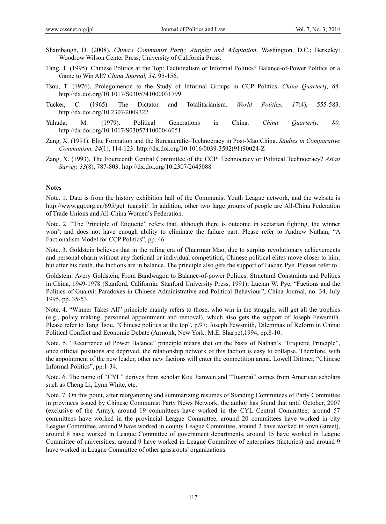- Shambaugh, D. (2008). *China's Communist Party: Atrophy and Adaptation*. Washington, D.C.; Berkeley: Woodrow Wilson Center Press; University of California Press.
- Tang, T. (1995). Chinese Politics at the Top: Factionalism or Informal Politics? Balance-of-Power Politics or a Game to Win All? *China Journal, 34*, 95-156.
- Tsou, T. (1976). Prolegomenon to the Study of Informal Groups in CCP Politics. *China Quarterly, 65.* http://dx.doi.org/10.1017/S0305741000031799
- Tucker, C. (1965). The Dictator and Totalitarianism. *World Politics, 17*(4), 555-583. http://dx.doi.org/10.2307/2009322
- Yahuda, M. (1979). Political Generations in China. *China Quarterly, 80.* http://dx.doi.org/10.1017/S0305741000046051
- Zang, X. (1991). Elite Formation and the Bureaucratic–Technocracy in Post-Mao China. *Studies in Comparative Communism, 24*(1), 114-123. http://dx.doi.org/10.1016/0039-3592(91)90024-Z
- Zang, X. (1993). The Fourteenth Central Committee of the CCP: Technocracy or Political Technocracy? *Asian Survey, 33*(8), 787-803. http://dx.doi.org/10.2307/2645088

#### **Notes**

Note. 1. Data is from the history exhibition hall of the Communist Youth League network, and the website is http://www.gqt.org.cn/695/gqt\_tuanshi/. In addition, other two large groups of people are All-China Federation of Trade Unions and All-China Women's Federation.

Note. 2. "The Principle of Etiquette" refers that, although there is outcome in sectarian fighting, the winner won't and does not have enough ability to eliminate the failure part. Please refer to Andrew Nathan, "A Factionalism Model for CCP Politics", pp. 46.

Note. 3. Goldstein believes that in the ruling era of Chairman Mao, due to surplus revolutionary achievements and personal charm without any factional or individual competition, Chinese political elites move closer to him; but after his death, the factions are in balance. The principle also gets the support of Lucian Pye. Pleases refer to

Goldstein: Avery Goldstein, From Bandwagon to Balance-of-power Politics: Structural Constraints and Politics in China, 1949-1978 (Stanford, California: Stanford University Press, 1991); Lucian W. Pye, "Factions and the Politics of Guanxi: Paradoxes in Chinese Administrative and Political Behaviour", China Journal, no. 34, July 1995, pp. 35-53.

Note. 4. "Winner Takes All" principle mainly refers to those, who win in the struggle, will get all the trophies (e.g., policy making, personnel appointment and removal), which also gets the support of Joseph Fewsmith. Please refer to Tang Tsou, "Chinese politics at the top", p.97; Joseph Fewsmith, Dilemmas of Reform in China: Political Conflict and Economic Debate (Armonk, New York: M.E. Sharpe),1994, pp.8-10.

Note. 5. "Recurrence of Power Balance" principle means that on the basis of Nathan's "Etiquette Principle", once official positions are deprived, the relationship network of this faction is easy to collapse. Therefore, with the appointment of the new leader, other new factions will enter the competition arena. Lowell Dittmer, "Chinese Informal Politics", pp.1-34.

Note. 6. The name of "CYL" derives from scholar Kou Jianwen and "Tuanpai" comes from American scholars such as Cheng Li, Lynn White, etc.

Note. 7. On this point, after reorganizing and summarizing resumes of Standing Committees of Party Committee in provinces issued by Chinese Communist Party News Network, the author has found that until October, 2007 (exclusive of the Army), around 19 committees have worked in the CYL Central Committee, around 57 committees have worked in the provincial League Committee, around 20 committees have worked in city League Committee, around 9 have worked in county League Committee, around 2 have worked in town (street), around 8 have worked in League Committee of government departments, around 15 have worked in League Committee of universities, around 9 have worked in League Committee of enterprises (factories) and around 9 have worked in League Committee of other grassroots' organizations.